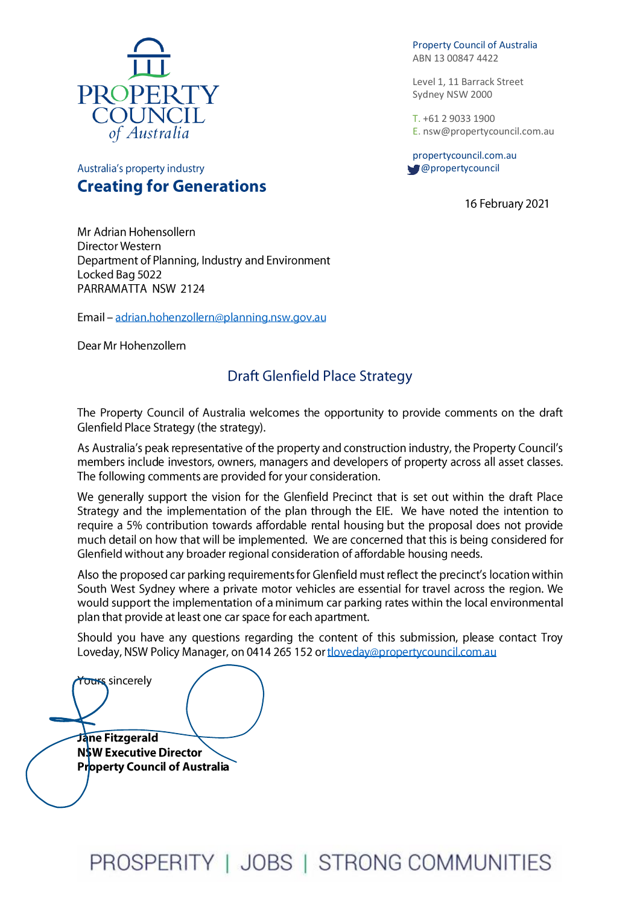

Australia's property industry

Property Council of Australia ABN 13 00847 4422

Level 1, 11 Barrack Street Sydney NSW 2000

T. +61 2 9033 1900 E[. nsw@propertycouncil.com.au](mailto:nsw@propertycouncil.com.au)

propertycouncil.com.au @propertycouncil

16 February 2021

Mr Adrian Hohensollern Director Western

**Creating for Generations** 

Department of Planning, Industry and Environment Locked Bag 5022 PARRAMATTA NSW 2124

Email - adrian.hohenzollern@planning.nsw.gov.au

Dear Mr Hohenzollern

## **Draft Glenfield Place Strategy**

The Property Council of Australia welcomes the opportunity to provide comments on the draft Glenfield Place Strategy (the strategy).

As Australia's peak representative of the property and construction industry, the Property Council's members include investors, owners, managers and developers of property across all asset classes. The following comments are provided for your consideration.

We generally support the vision for the Glenfield Precinct that is set out within the draft Place Strategy and the implementation of the plan through the EIE. We have noted the intention to require a 5% contribution towards affordable rental housing but the proposal does not provide much detail on how that will be implemented. We are concerned that this is being considered for Glenfield without any broader regional consideration of affordable housing needs.

Also the proposed car parking requirements for Glenfield must reflect the precinct's location within South West Sydney where a private motor vehicles are essential for travel across the region. We would support the implementation of a minimum car parking rates within the local environmental plan that provide at least one car space for each apartment.

Should you have any questions regarding the content of this submission, please contact Troy Loveday, NSW Policy Manager, on 0414 265 152 or tloveday@propertycouncil.com.au

Yours sincerely

Jane Fitzgerald **NSW Executive Director Property Council of Australia**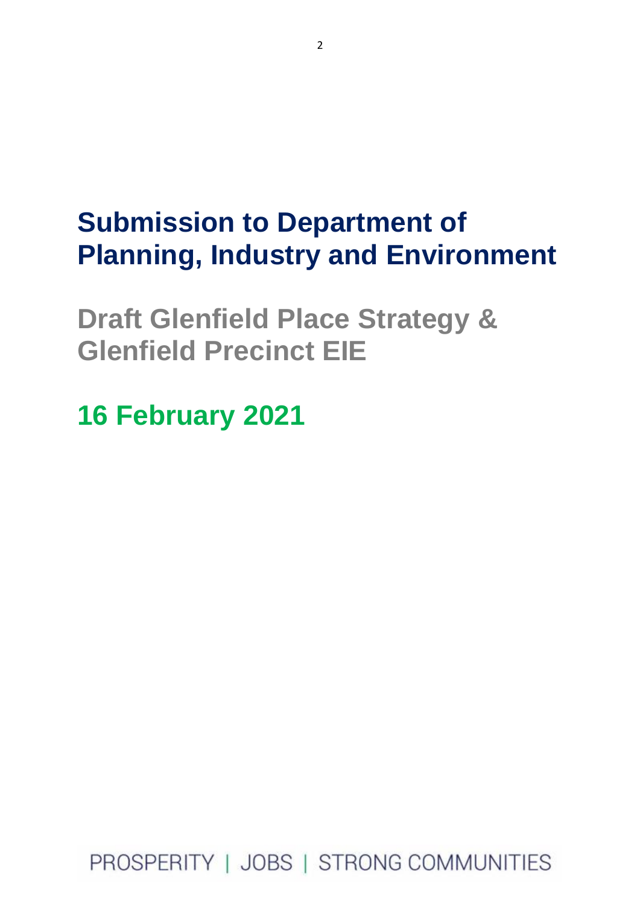# **Submission to Department of Planning, Industry and Environment**

**Draft Glenfield Place Strategy & Glenfield Precinct EIE** 

**16 February 2021**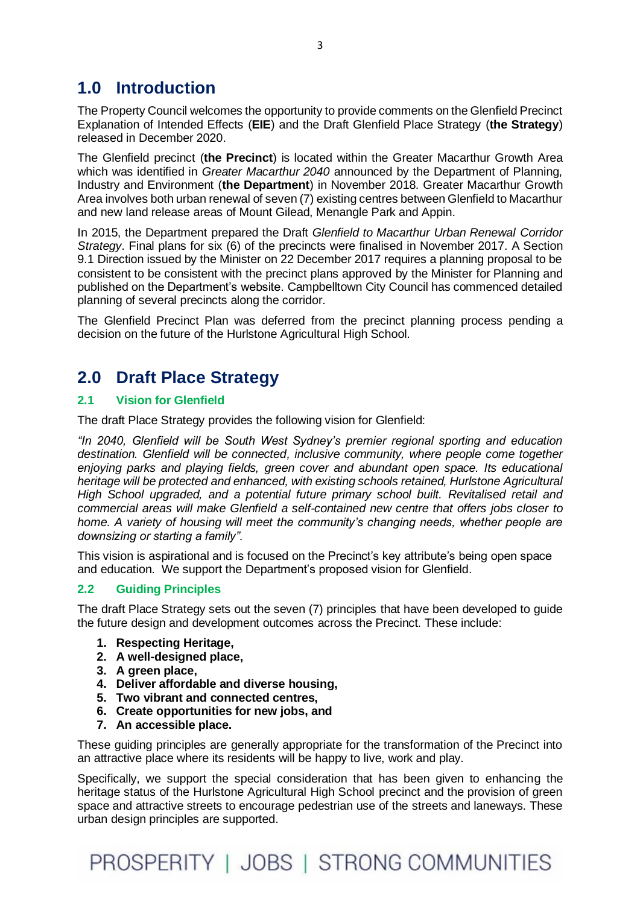## **1.0 Introduction**

The Property Council welcomes the opportunity to provide comments on the Glenfield Precinct Explanation of Intended Effects (**EIE**) and the Draft Glenfield Place Strategy (**the Strategy**) released in December 2020.

The Glenfield precinct (**the Precinct**) is located within the Greater Macarthur Growth Area which was identified in *Greater Macarthur 2040* announced by the Department of Planning, Industry and Environment (**the Department**) in November 2018. Greater Macarthur Growth Area involves both urban renewal of seven (7) existing centres between Glenfield to Macarthur and new land release areas of Mount Gilead, Menangle Park and Appin.

In 2015, the Department prepared the Draft *Glenfield to Macarthur Urban Renewal Corridor Strategy*. Final plans for six (6) of the precincts were finalised in November 2017. A Section 9.1 Direction issued by the Minister on 22 December 2017 requires a planning proposal to be consistent to be consistent with the precinct plans approved by the Minister for Planning and published on the Department's website. Campbelltown City Council has commenced detailed planning of several precincts along the corridor.

The Glenfield Precinct Plan was deferred from the precinct planning process pending a decision on the future of the Hurlstone Agricultural High School.

## **2.0 Draft Place Strategy**

## **2.1 Vision for Glenfield**

The draft Place Strategy provides the following vision for Glenfield:

*"In 2040, Glenfield will be South West Sydney's premier regional sporting and education destination. Glenfield will be connected, inclusive community, where people come together enjoying parks and playing fields, green cover and abundant open space. Its educational heritage will be protected and enhanced, with existing schools retained, Hurlstone Agricultural High School upgraded, and a potential future primary school built. Revitalised retail and commercial areas will make Glenfield a self-contained new centre that offers jobs closer to home. A variety of housing will meet the community's changing needs, whether people are downsizing or starting a family".* 

This vision is aspirational and is focused on the Precinct's key attribute's being open space and education. We support the Department's proposed vision for Glenfield.

## **2.2 Guiding Principles**

The draft Place Strategy sets out the seven (7) principles that have been developed to guide the future design and development outcomes across the Precinct. These include:

- **1. Respecting Heritage,**
- **2. A well-designed place,**
- **3. A green place,**
- **4. Deliver affordable and diverse housing,**
- **5. Two vibrant and connected centres,**
- **6. Create opportunities for new jobs, and**
- **7. An accessible place.**

These guiding principles are generally appropriate for the transformation of the Precinct into an attractive place where its residents will be happy to live, work and play.

Specifically, we support the special consideration that has been given to enhancing the heritage status of the Hurlstone Agricultural High School precinct and the provision of green space and attractive streets to encourage pedestrian use of the streets and laneways. These urban design principles are supported.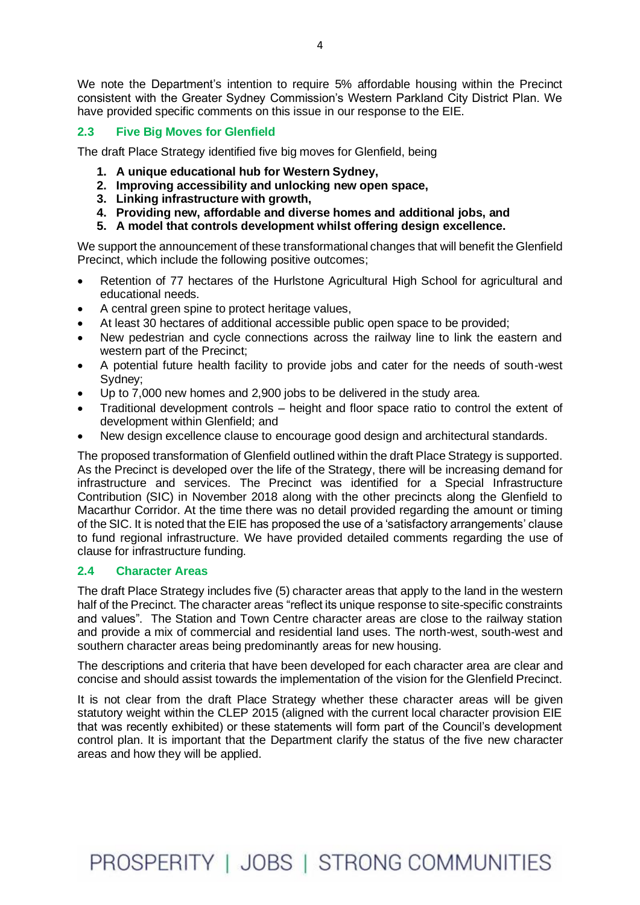We note the Department's intention to require 5% affordable housing within the Precinct consistent with the Greater Sydney Commission's Western Parkland City District Plan. We have provided specific comments on this issue in our response to the EIE.

## **2.3 Five Big Moves for Glenfield**

The draft Place Strategy identified five big moves for Glenfield, being

- **1. A unique educational hub for Western Sydney,**
- **2. Improving accessibility and unlocking new open space,**
- **3. Linking infrastructure with growth,**
- **4. Providing new, affordable and diverse homes and additional jobs, and**
- **5. A model that controls development whilst offering design excellence.**

We support the announcement of these transformational changes that will benefit the Glenfield Precinct, which include the following positive outcomes;

- Retention of 77 hectares of the Hurlstone Agricultural High School for agricultural and educational needs.
- A central green spine to protect heritage values,
- At least 30 hectares of additional accessible public open space to be provided;
- New pedestrian and cycle connections across the railway line to link the eastern and western part of the Precinct;
- A potential future health facility to provide jobs and cater for the needs of south-west Sydney;
- Up to 7,000 new homes and 2,900 jobs to be delivered in the study area.
- Traditional development controls height and floor space ratio to control the extent of development within Glenfield; and
- New design excellence clause to encourage good design and architectural standards.

The proposed transformation of Glenfield outlined within the draft Place Strategy is supported. As the Precinct is developed over the life of the Strategy, there will be increasing demand for infrastructure and services. The Precinct was identified for a Special Infrastructure Contribution (SIC) in November 2018 along with the other precincts along the Glenfield to Macarthur Corridor. At the time there was no detail provided regarding the amount or timing of the SIC. It is noted that the EIE has proposed the use of a 'satisfactory arrangements' clause to fund regional infrastructure. We have provided detailed comments regarding the use of clause for infrastructure funding.

#### **2.4 Character Areas**

The draft Place Strategy includes five (5) character areas that apply to the land in the western half of the Precinct. The character areas "reflect its unique response to site-specific constraints and values". The Station and Town Centre character areas are close to the railway station and provide a mix of commercial and residential land uses. The north-west, south-west and southern character areas being predominantly areas for new housing.

The descriptions and criteria that have been developed for each character area are clear and concise and should assist towards the implementation of the vision for the Glenfield Precinct.

It is not clear from the draft Place Strategy whether these character areas will be given statutory weight within the CLEP 2015 (aligned with the current local character provision EIE that was recently exhibited) or these statements will form part of the Council's development control plan. It is important that the Department clarify the status of the five new character areas and how they will be applied.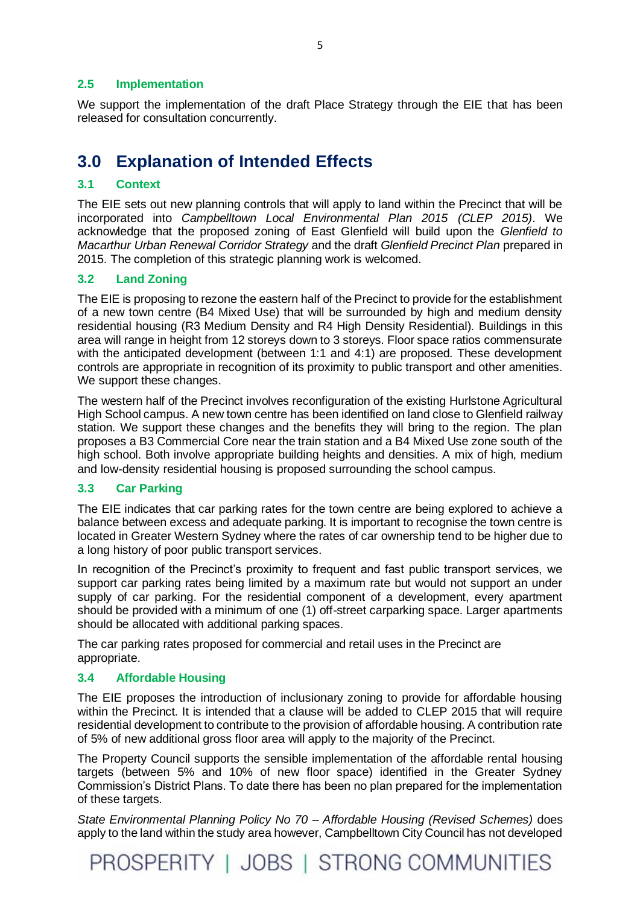### **2.5 Implementation**

We support the implementation of the draft Place Strategy through the EIE that has been released for consultation concurrently.

## **3.0 Explanation of Intended Effects**

### **3.1 Context**

The EIE sets out new planning controls that will apply to land within the Precinct that will be incorporated into *Campbelltown Local Environmental Plan 2015 (CLEP 2015)*. We acknowledge that the proposed zoning of East Glenfield will build upon the *Glenfield to Macarthur Urban Renewal Corridor Strategy* and the draft *Glenfield Precinct Plan* prepared in 2015. The completion of this strategic planning work is welcomed.

## **3.2 Land Zoning**

The EIE is proposing to rezone the eastern half of the Precinct to provide for the establishment of a new town centre (B4 Mixed Use) that will be surrounded by high and medium density residential housing (R3 Medium Density and R4 High Density Residential). Buildings in this area will range in height from 12 storeys down to 3 storeys. Floor space ratios commensurate with the anticipated development (between 1:1 and 4:1) are proposed. These development controls are appropriate in recognition of its proximity to public transport and other amenities. We support these changes.

The western half of the Precinct involves reconfiguration of the existing Hurlstone Agricultural High School campus. A new town centre has been identified on land close to Glenfield railway station. We support these changes and the benefits they will bring to the region. The plan proposes a B3 Commercial Core near the train station and a B4 Mixed Use zone south of the high school. Both involve appropriate building heights and densities. A mix of high, medium and low-density residential housing is proposed surrounding the school campus.

## **3.3 Car Parking**

The EIE indicates that car parking rates for the town centre are being explored to achieve a balance between excess and adequate parking. It is important to recognise the town centre is located in Greater Western Sydney where the rates of car ownership tend to be higher due to a long history of poor public transport services.

In recognition of the Precinct's proximity to frequent and fast public transport services, we support car parking rates being limited by a maximum rate but would not support an under supply of car parking. For the residential component of a development, every apartment should be provided with a minimum of one (1) off-street carparking space. Larger apartments should be allocated with additional parking spaces.

The car parking rates proposed for commercial and retail uses in the Precinct are appropriate.

#### **3.4 Affordable Housing**

The EIE proposes the introduction of inclusionary zoning to provide for affordable housing within the Precinct. It is intended that a clause will be added to CLEP 2015 that will require residential development to contribute to the provision of affordable housing. A contribution rate of 5% of new additional gross floor area will apply to the majority of the Precinct.

The Property Council supports the sensible implementation of the affordable rental housing targets (between 5% and 10% of new floor space) identified in the Greater Sydney Commission's District Plans. To date there has been no plan prepared for the implementation of these targets.

*State Environmental Planning Policy No 70 – Affordable Housing (Revised Schemes)* does apply to the land within the study area however, Campbelltown City Council has not developed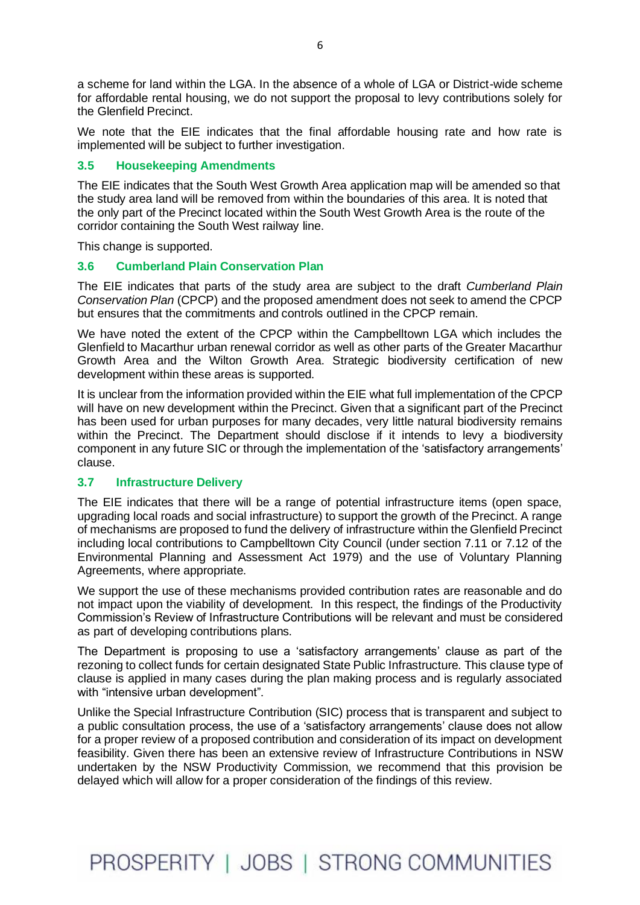a scheme for land within the LGA. In the absence of a whole of LGA or District-wide scheme for affordable rental housing, we do not support the proposal to levy contributions solely for the Glenfield Precinct.

We note that the EIE indicates that the final affordable housing rate and how rate is implemented will be subject to further investigation.

### **3.5 Housekeeping Amendments**

The EIE indicates that the South West Growth Area application map will be amended so that the study area land will be removed from within the boundaries of this area. It is noted that the only part of the Precinct located within the South West Growth Area is the route of the corridor containing the South West railway line.

This change is supported.

### **3.6 Cumberland Plain Conservation Plan**

The EIE indicates that parts of the study area are subject to the draft *Cumberland Plain Conservation Plan* (CPCP) and the proposed amendment does not seek to amend the CPCP but ensures that the commitments and controls outlined in the CPCP remain.

We have noted the extent of the CPCP within the Campbelltown LGA which includes the Glenfield to Macarthur urban renewal corridor as well as other parts of the Greater Macarthur Growth Area and the Wilton Growth Area. Strategic biodiversity certification of new development within these areas is supported.

It is unclear from the information provided within the EIE what full implementation of the CPCP will have on new development within the Precinct. Given that a significant part of the Precinct has been used for urban purposes for many decades, very little natural biodiversity remains within the Precinct. The Department should disclose if it intends to levy a biodiversity component in any future SIC or through the implementation of the 'satisfactory arrangements' clause.

#### **3.7 Infrastructure Delivery**

The EIE indicates that there will be a range of potential infrastructure items (open space, upgrading local roads and social infrastructure) to support the growth of the Precinct. A range of mechanisms are proposed to fund the delivery of infrastructure within the Glenfield Precinct including local contributions to Campbelltown City Council (under section 7.11 or 7.12 of the Environmental Planning and Assessment Act 1979) and the use of Voluntary Planning Agreements, where appropriate.

We support the use of these mechanisms provided contribution rates are reasonable and do not impact upon the viability of development. In this respect, the findings of the Productivity Commission's Review of Infrastructure Contributions will be relevant and must be considered as part of developing contributions plans.

The Department is proposing to use a 'satisfactory arrangements' clause as part of the rezoning to collect funds for certain designated State Public Infrastructure. This clause type of clause is applied in many cases during the plan making process and is regularly associated with "intensive urban development".

Unlike the Special Infrastructure Contribution (SIC) process that is transparent and subject to a public consultation process, the use of a 'satisfactory arrangements' clause does not allow for a proper review of a proposed contribution and consideration of its impact on development feasibility. Given there has been an extensive review of Infrastructure Contributions in NSW undertaken by the NSW Productivity Commission, we recommend that this provision be delayed which will allow for a proper consideration of the findings of this review.